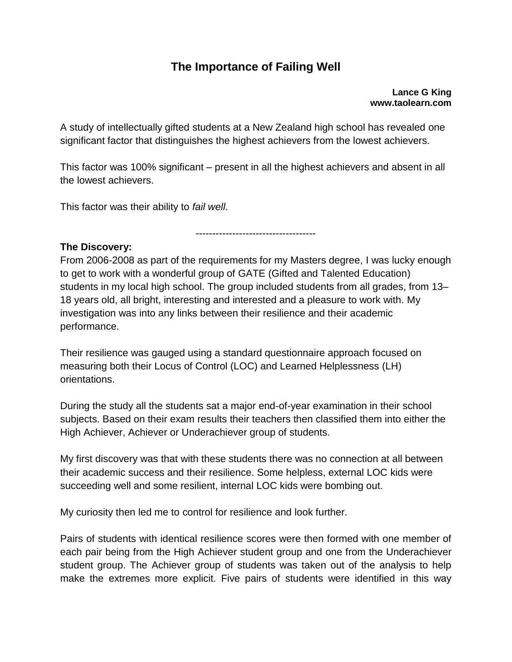## **The Importance of Failing Well**

**Lance G King www.taolearn.com**

A study of intellectually gifted students at a New Zealand high school has revealed one significant factor that distinguishes the highest achievers from the lowest achievers.

This factor was 100% significant – present in all the highest achievers and absent in all the lowest achievers.

This factor was their ability to *fail well*.

**The Discovery:**

From 2006-2008 as part of the requirements for my Masters degree, I was lucky enough to get to work with a wonderful group of GATE (Gifted and Talented Education) students in my local high school. The group included students from all grades, from 13– 18 years old, all bright, interesting and interested and a pleasure to work with. My investigation was into any links between their resilience and their academic performance.

------------------------------------

Their resilience was gauged using a standard questionnaire approach focused on measuring both their Locus of Control (LOC) and Learned Helplessness (LH) orientations.

During the study all the students sat a major end-of-year examination in their school subjects. Based on their exam results their teachers then classified them into either the High Achiever, Achiever or Underachiever group of students.

My first discovery was that with these students there was no connection at all between their academic success and their resilience. Some helpless, external LOC kids were succeeding well and some resilient, internal LOC kids were bombing out.

My curiosity then led me to control for resilience and look further.

Pairs of students with identical resilience scores were then formed with one member of each pair being from the High Achiever student group and one from the Underachiever student group. The Achiever group of students was taken out of the analysis to help make the extremes more explicit. Five pairs of students were identified in this way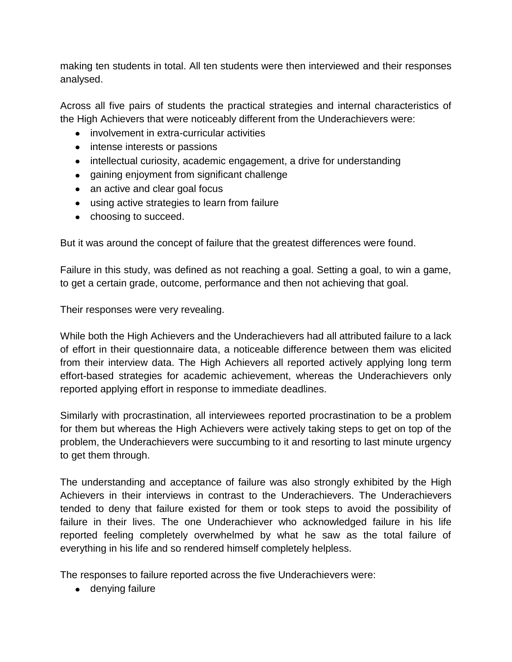making ten students in total. All ten students were then interviewed and their responses analysed.

Across all five pairs of students the practical strategies and internal characteristics of the High Achievers that were noticeably different from the Underachievers were:

- involvement in extra-curricular activities
- intense interests or passions
- intellectual curiosity, academic engagement, a drive for understanding
- gaining enjoyment from significant challenge
- an active and clear goal focus
- using active strategies to learn from failure
- choosing to succeed.

But it was around the concept of failure that the greatest differences were found.

Failure in this study, was defined as not reaching a goal. Setting a goal, to win a game, to get a certain grade, outcome, performance and then not achieving that goal.

Their responses were very revealing.

While both the High Achievers and the Underachievers had all attributed failure to a lack of effort in their questionnaire data, a noticeable difference between them was elicited from their interview data. The High Achievers all reported actively applying long term effort-based strategies for academic achievement, whereas the Underachievers only reported applying effort in response to immediate deadlines.

Similarly with procrastination, all interviewees reported procrastination to be a problem for them but whereas the High Achievers were actively taking steps to get on top of the problem, the Underachievers were succumbing to it and resorting to last minute urgency to get them through.

The understanding and acceptance of failure was also strongly exhibited by the High Achievers in their interviews in contrast to the Underachievers. The Underachievers tended to deny that failure existed for them or took steps to avoid the possibility of failure in their lives. The one Underachiever who acknowledged failure in his life reported feeling completely overwhelmed by what he saw as the total failure of everything in his life and so rendered himself completely helpless.

The responses to failure reported across the five Underachievers were:

• denying failure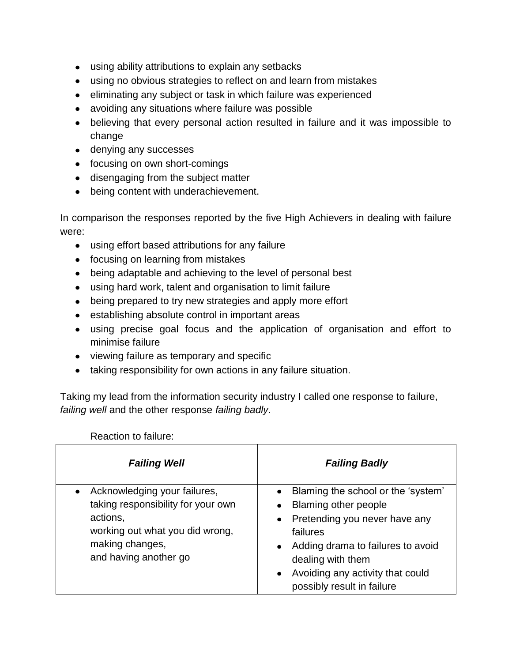- using ability attributions to explain any setbacks
- using no obvious strategies to reflect on and learn from mistakes
- eliminating any subject or task in which failure was experienced
- avoiding any situations where failure was possible
- believing that every personal action resulted in failure and it was impossible to change
- denying any successes
- focusing on own short-comings
- disengaging from the subject matter
- being content with underachievement.

In comparison the responses reported by the five High Achievers in dealing with failure were:

- using effort based attributions for any failure
- focusing on learning from mistakes
- being adaptable and achieving to the level of personal best
- using hard work, talent and organisation to limit failure
- being prepared to try new strategies and apply more effort
- establishing absolute control in important areas
- using precise goal focus and the application of organisation and effort to minimise failure
- viewing failure as temporary and specific
- taking responsibility for own actions in any failure situation.

Taking my lead from the information security industry I called one response to failure, *failing well* and the other response *failing badly*.

Reaction to failure:

| <b>Failing Well</b>                                                                                                                                           | <b>Failing Badly</b>                                                                                                                                                                                                                                                       |
|---------------------------------------------------------------------------------------------------------------------------------------------------------------|----------------------------------------------------------------------------------------------------------------------------------------------------------------------------------------------------------------------------------------------------------------------------|
| Acknowledging your failures,<br>taking responsibility for your own<br>actions,<br>working out what you did wrong,<br>making changes,<br>and having another go | • Blaming the school or the 'system'<br><b>Blaming other people</b><br>$\bullet$<br>• Pretending you never have any<br>failures<br>• Adding drama to failures to avoid<br>dealing with them<br>Avoiding any activity that could<br>$\bullet$<br>possibly result in failure |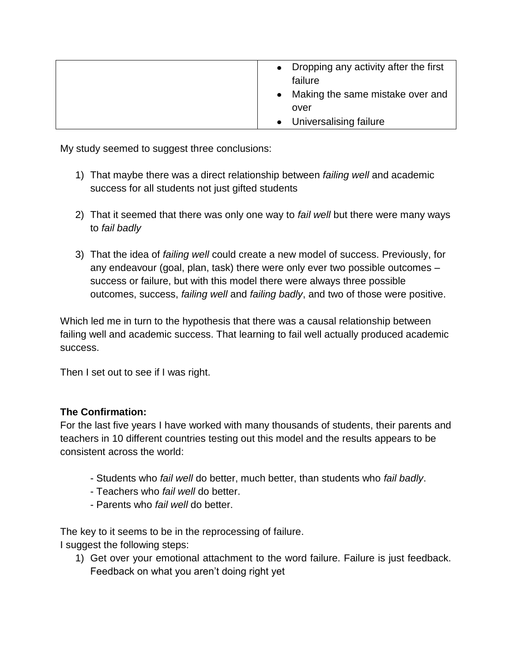| • Dropping any activity after the first<br>failure<br>Making the same mistake over and<br>$\bullet$ |
|-----------------------------------------------------------------------------------------------------|
| over                                                                                                |
| • Universalising failure                                                                            |

My study seemed to suggest three conclusions:

- 1) That maybe there was a direct relationship between *failing well* and academic success for all students not just gifted students
- 2) That it seemed that there was only one way to *fail well* but there were many ways to *fail badly*
- 3) That the idea of *failing well* could create a new model of success. Previously, for any endeavour (goal, plan, task) there were only ever two possible outcomes – success or failure, but with this model there were always three possible outcomes, success, *failing well* and *failing badly*, and two of those were positive.

Which led me in turn to the hypothesis that there was a causal relationship between failing well and academic success. That learning to fail well actually produced academic success.

Then I set out to see if I was right.

## **The Confirmation:**

For the last five years I have worked with many thousands of students, their parents and teachers in 10 different countries testing out this model and the results appears to be consistent across the world:

- Students who *fail well* do better, much better, than students who *fail badly*.
- Teachers who *fail well* do better.
- Parents who *fail well* do better.

The key to it seems to be in the reprocessing of failure. I suggest the following steps:

1) Get over your emotional attachment to the word failure. Failure is just feedback. Feedback on what you aren't doing right yet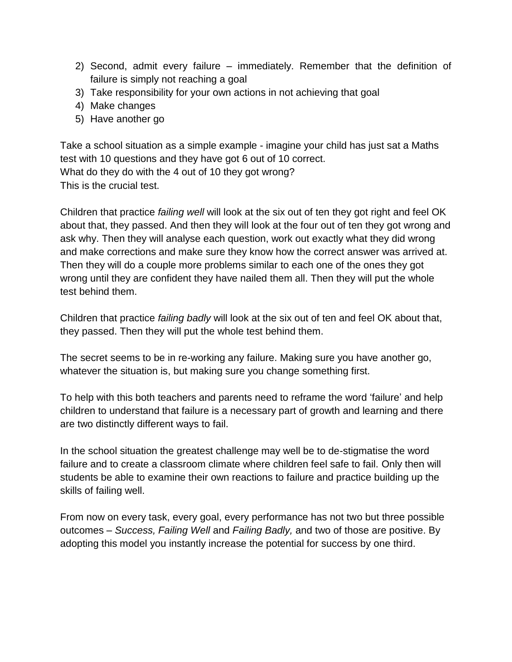- 2) Second, admit every failure immediately. Remember that the definition of failure is simply not reaching a goal
- 3) Take responsibility for your own actions in not achieving that goal
- 4) Make changes
- 5) Have another go

Take a school situation as a simple example - imagine your child has just sat a Maths test with 10 questions and they have got 6 out of 10 correct. What do they do with the 4 out of 10 they got wrong? This is the crucial test.

Children that practice *failing well* will look at the six out of ten they got right and feel OK about that, they passed. And then they will look at the four out of ten they got wrong and ask why. Then they will analyse each question, work out exactly what they did wrong and make corrections and make sure they know how the correct answer was arrived at. Then they will do a couple more problems similar to each one of the ones they got wrong until they are confident they have nailed them all. Then they will put the whole test behind them.

Children that practice *failing badly* will look at the six out of ten and feel OK about that, they passed. Then they will put the whole test behind them.

The secret seems to be in re-working any failure. Making sure you have another go, whatever the situation is, but making sure you change something first.

To help with this both teachers and parents need to reframe the word 'failure' and help children to understand that failure is a necessary part of growth and learning and there are two distinctly different ways to fail.

In the school situation the greatest challenge may well be to de-stigmatise the word failure and to create a classroom climate where children feel safe to fail. Only then will students be able to examine their own reactions to failure and practice building up the skills of failing well.

From now on every task, every goal, every performance has not two but three possible outcomes – *Success, Failing Well* and *Failing Badly,* and two of those are positive. By adopting this model you instantly increase the potential for success by one third.